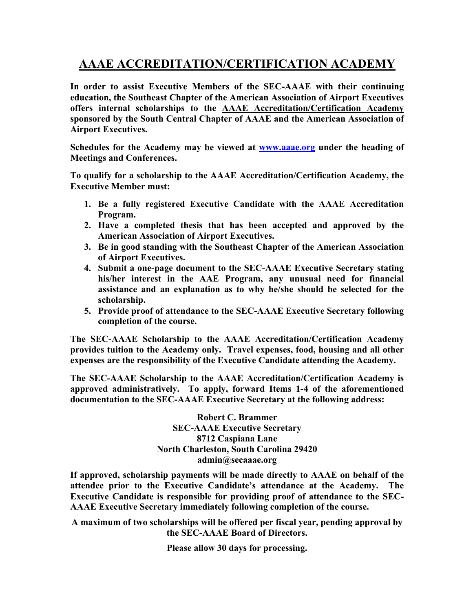## **AAAE ACCREDITATION/CERTIFICATION ACADEMY**

**In order to assist Executive Members of the SEC-AAAE with their continuing education, the Southeast Chapter of the American Association of Airport Executives offers internal scholarships to the AAAE Accreditation/Certification Academy sponsored by the South Central Chapter of AAAE and the American Association of Airport Executives.**

**Schedules for the Academy may be viewed at www.aaae.org under the heading of Meetings and Conferences.**

**To qualify for a scholarship to the AAAE Accreditation/Certification Academy, the Executive Member must:**

- **1. Be a fully registered Executive Candidate with the AAAE Accreditation Program.**
- **2. Have a completed thesis that has been accepted and approved by the American Association of Airport Executives.**
- **3. Be in good standing with the Southeast Chapter of the American Association of Airport Executives.**
- **4. Submit a one-page document to the SEC-AAAE Executive Secretary stating his/her interest in the AAE Program, any unusual need for financial assistance and an explanation as to why he/she should be selected for the scholarship.**
- **5. Provide proof of attendance to the SEC-AAAE Executive Secretary following completion of the course.**

**The SEC-AAAE Scholarship to the AAAE Accreditation/Certification Academy provides tuition to the Academy only. Travel expenses, food, housing and all other expenses are the responsibility of the Executive Candidate attending the Academy.**

**The SEC-AAAE Scholarship to the AAAE Accreditation/Certification Academy is approved administratively. To apply, forward Items 1-4 of the aforementioned documentation to the SEC-AAAE Executive Secretary at the following address:**

> **Robert C. Brammer SEC-AAAE Executive Secretary 8712 Caspiana Lane North Charleston, South Carolina 29420 admin@secaaae.org**

**If approved, scholarship payments will be made directly to AAAE on behalf of the attendee prior to the Executive Candidate's attendance at the Academy. The Executive Candidate is responsible for providing proof of attendance to the SEC-AAAE Executive Secretary immediately following completion of the course.**

**A maximum of two scholarships will be offered per fiscal year, pending approval by the SEC-AAAE Board of Directors.** 

**Please allow 30 days for processing.**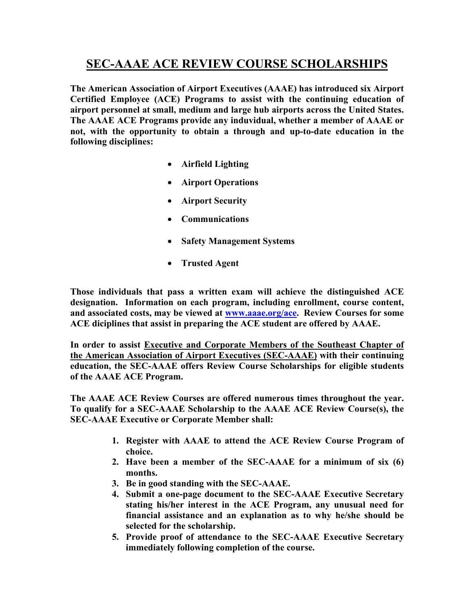## **SEC-AAAE ACE REVIEW COURSE SCHOLARSHIPS**

**The American Association of Airport Executives (AAAE) has introduced six Airport Certified Employee (ACE) Programs to assist with the continuing education of airport personnel at small, medium and large hub airports across the United States. The AAAE ACE Programs provide any induvidual, whether a member of AAAE or not, with the opportunity to obtain a through and up-to-date education in the following disciplines:** 

- **Airfield Lighting**
- **Airport Operations**
- **Airport Security**
- **Communications**
- **Safety Management Systems**
- **Trusted Agent**

**Those individuals that pass a written exam will achieve the distinguished ACE designation. Information on each program, including enrollment, course content, and associated costs, may be viewed at www.aaae.org/ace. Review Courses for some ACE diciplines that assist in preparing the ACE student are offered by AAAE.**

**In order to assist Executive and Corporate Members of the Southeast Chapter of the American Association of Airport Executives (SEC-AAAE) with their continuing education, the SEC-AAAE offers Review Course Scholarships for eligible students of the AAAE ACE Program.**

**The AAAE ACE Review Courses are offered numerous times throughout the year. To qualify for a SEC-AAAE Scholarship to the AAAE ACE Review Course(s), the SEC-AAAE Executive or Corporate Member shall:**

- **1. Register with AAAE to attend the ACE Review Course Program of choice.**
- **2. Have been a member of the SEC-AAAE for a minimum of six (6) months.**
- **3. Be in good standing with the SEC-AAAE.**
- **4. Submit a one-page document to the SEC-AAAE Executive Secretary stating his/her interest in the ACE Program, any unusual need for financial assistance and an explanation as to why he/she should be selected for the scholarship.**
- **5. Provide proof of attendance to the SEC-AAAE Executive Secretary immediately following completion of the course.**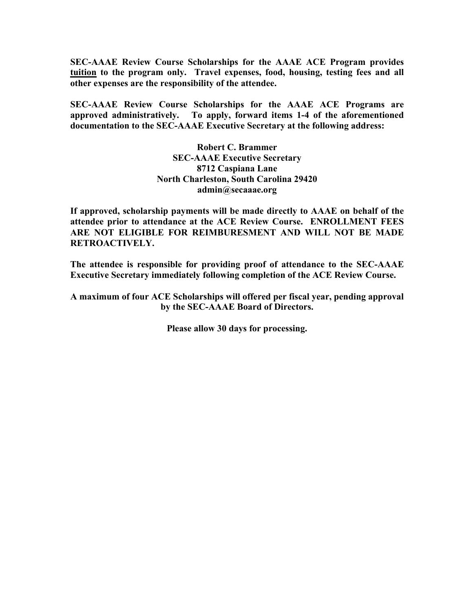**SEC-AAAE Review Course Scholarships for the AAAE ACE Program provides tuition to the program only. Travel expenses, food, housing, testing fees and all other expenses are the responsibility of the attendee.**

**SEC-AAAE Review Course Scholarships for the AAAE ACE Programs are approved administratively. To apply, forward items 1-4 of the aforementioned documentation to the SEC-AAAE Executive Secretary at the following address:**

> **Robert C. Brammer SEC-AAAE Executive Secretary 8712 Caspiana Lane North Charleston, South Carolina 29420 admin@secaaae.org**

**If approved, scholarship payments will be made directly to AAAE on behalf of the attendee prior to attendance at the ACE Review Course. ENROLLMENT FEES ARE NOT ELIGIBLE FOR REIMBURESMENT AND WILL NOT BE MADE RETROACTIVELY.**

**The attendee is responsible for providing proof of attendance to the SEC-AAAE Executive Secretary immediately following completion of the ACE Review Course.**

**A maximum of four ACE Scholarships will offered per fiscal year, pending approval by the SEC-AAAE Board of Directors.**

**Please allow 30 days for processing.**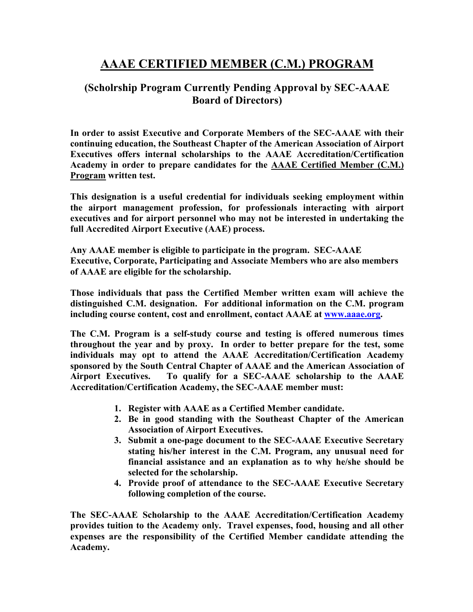## **AAAE CERTIFIED MEMBER (C.M.) PROGRAM**

## **(Scholrship Program Currently Pending Approval by SEC-AAAE Board of Directors)**

**In order to assist Executive and Corporate Members of the SEC-AAAE with their continuing education, the Southeast Chapter of the American Association of Airport Executives offers internal scholarships to the AAAE Accreditation/Certification Academy in order to prepare candidates for the AAAE Certified Member (C.M.) Program written test.**

**This designation is a useful credential for individuals seeking employment within the airport management profession, for professionals interacting with airport executives and for airport personnel who may not be interested in undertaking the full Accredited Airport Executive (AAE) process.**

**Any AAAE member is eligible to participate in the program. SEC-AAAE Executive, Corporate, Participating and Associate Members who are also members of AAAE are eligible for the scholarship.**

**Those individuals that pass the Certified Member written exam will achieve the distinguished C.M. designation. For additional information on the C.M. program including course content, cost and enrollment, contact AAAE at www.aaae.org.**

**The C.M. Program is a self-study course and testing is offered numerous times throughout the year and by proxy. In order to better prepare for the test, some individuals may opt to attend the AAAE Accreditation/Certification Academy sponsored by the South Central Chapter of AAAE and the American Association of Airport Executives. To qualify for a SEC-AAAE scholarship to the AAAE Accreditation/Certification Academy, the SEC-AAAE member must:**

- **1. Register with AAAE as a Certified Member candidate.**
- **2. Be in good standing with the Southeast Chapter of the American Association of Airport Executives.**
- **3. Submit a one-page document to the SEC-AAAE Executive Secretary stating his/her interest in the C.M. Program, any unusual need for financial assistance and an explanation as to why he/she should be selected for the scholarship.**
- **4. Provide proof of attendance to the SEC-AAAE Executive Secretary following completion of the course.**

**The SEC-AAAE Scholarship to the AAAE Accreditation/Certification Academy provides tuition to the Academy only. Travel expenses, food, housing and all other expenses are the responsibility of the Certified Member candidate attending the Academy.**